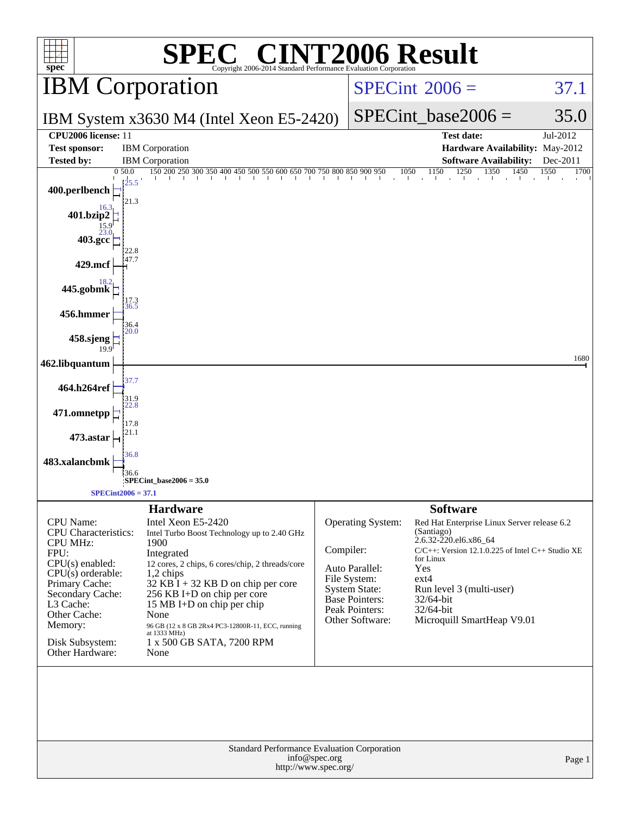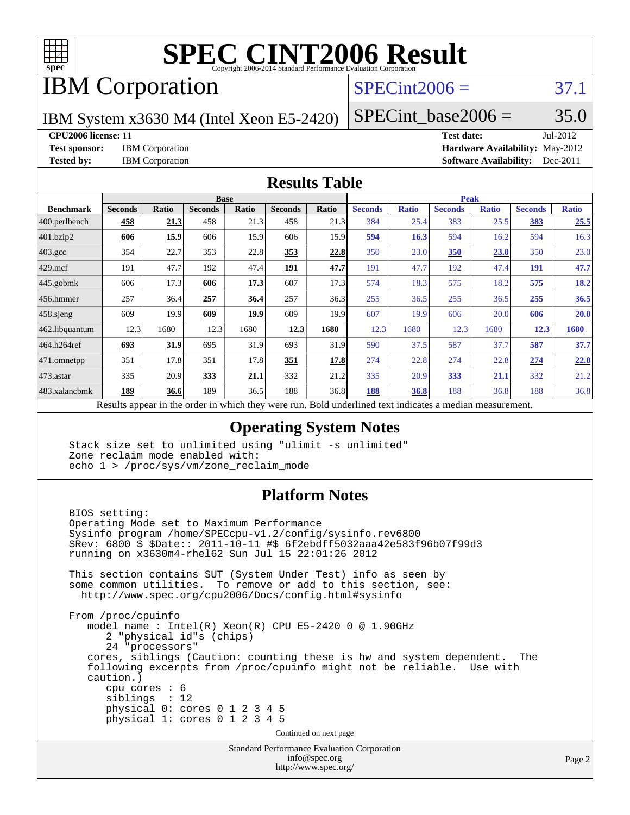

# **[SPEC CINT2006 Result](http://www.spec.org/auto/cpu2006/Docs/result-fields.html#SPECCINT2006Result)**

# IBM Corporation

## $SPECint2006 = 37.1$  $SPECint2006 = 37.1$

IBM System x3630 M4 (Intel Xeon E5-2420)

 $SPECTnt\_base2006 = 35.0$ 

**[CPU2006 license:](http://www.spec.org/auto/cpu2006/Docs/result-fields.html#CPU2006license)** 11 **[Test date:](http://www.spec.org/auto/cpu2006/Docs/result-fields.html#Testdate)** Jul-2012

**[Test sponsor:](http://www.spec.org/auto/cpu2006/Docs/result-fields.html#Testsponsor)** IBM Corporation **[Hardware Availability:](http://www.spec.org/auto/cpu2006/Docs/result-fields.html#HardwareAvailability)** May-2012 **[Tested by:](http://www.spec.org/auto/cpu2006/Docs/result-fields.html#Testedby)** IBM Corporation **[Software Availability:](http://www.spec.org/auto/cpu2006/Docs/result-fields.html#SoftwareAvailability)** Dec-2011

#### **[Results Table](http://www.spec.org/auto/cpu2006/Docs/result-fields.html#ResultsTable)**

|                    | <b>Base</b>    |       |                |              |                |                           | <b>Peak</b>    |              |                |              |                |              |
|--------------------|----------------|-------|----------------|--------------|----------------|---------------------------|----------------|--------------|----------------|--------------|----------------|--------------|
| <b>Benchmark</b>   | <b>Seconds</b> | Ratio | <b>Seconds</b> | <b>Ratio</b> | <b>Seconds</b> | Ratio                     | <b>Seconds</b> | <b>Ratio</b> | <b>Seconds</b> | <b>Ratio</b> | <b>Seconds</b> | <b>Ratio</b> |
| 400.perlbench      | 458            | 21.3  | 458            | 21.3         | 458            | 21.3                      | 384            | 25.4         | 383            | 25.5         | 383            | 25.5         |
| 401.bzip2          | 606            | 15.9  | 606            | 15.9         | 606            | 15.9                      | 594            | 16.3         | 594            | 16.2         | 594            | 16.3         |
| $403.\mathrm{gcc}$ | 354            | 22.7  | 353            | 22.8         | 353            | 22.8                      | 350            | 23.0         | <b>350</b>     | 23.0         | 350            | 23.0         |
| $429$ .mcf         | 191            | 47.7  | 192            | 47.4         | <u>191</u>     | 47.7                      | 191            | 47.7         | 192            | 47.4         | <u> 191</u>    | 47.7         |
| $445$ .gobmk       | 606            | 17.3  | 606            | 17.3         | 607            | 17.3                      | 574            | 18.3         | 575            | 18.2         | 575            | <u>18.2</u>  |
| 456.hmmer          | 257            | 36.4  | 257            | 36.4         | 257            | 36.3                      | 255            | 36.5         | 255            | 36.5         | 255            | 36.5         |
| $458$ .sjeng       | 609            | 19.9  | 609            | 19.9         | 609            | 19.9                      | 607            | 19.9         | 606            | 20.0         | 606            | 20.0         |
| 462.libquantum     | 12.3           | 1680  | 12.3           | 1680         | 12.3           | 1680                      | 12.3           | 1680         | 12.3           | 1680         | 12.3           | 1680         |
| 464.h264ref        | 693            | 31.9  | 695            | 31.9         | 693            | 31.9                      | 590            | 37.5         | 587            | 37.7         | 587            | 37.7         |
| 471.omnetpp        | 351            | 17.8  | 351            | 17.8         | 351            | 17.8                      | 274            | 22.8         | 274            | 22.8         | 274            | 22.8         |
| $473.$ astar       | 335            | 20.9  | 333            | 21.1         | 332            | 21.2                      | 335            | 20.9         | 333            | 21.1         | 332            | 21.2         |
| 483.xalancbmk      | 189            | 36.6  | 189            | 36.5         | 188            | 36.8                      | 188            | 36.8         | 188            | 36.8         | 188            | 36.8         |
| $\mathbf{r}$       | $\mathbf{1}$ . |       |                | 1.1.1.1      |                | $\mathbf{r}$ $\mathbf{r}$ | $\blacksquare$ | .            | $\cdot$        |              |                |              |

Results appear in the [order in which they were run.](http://www.spec.org/auto/cpu2006/Docs/result-fields.html#RunOrder) Bold underlined text [indicates a median measurement.](http://www.spec.org/auto/cpu2006/Docs/result-fields.html#Median)

### **[Operating System Notes](http://www.spec.org/auto/cpu2006/Docs/result-fields.html#OperatingSystemNotes)**

 Stack size set to unlimited using "ulimit -s unlimited" Zone reclaim mode enabled with: echo 1 > /proc/sys/vm/zone\_reclaim\_mode

### **[Platform Notes](http://www.spec.org/auto/cpu2006/Docs/result-fields.html#PlatformNotes)**

 BIOS setting: Operating Mode set to Maximum Performance Sysinfo program /home/SPECcpu-v1.2/config/sysinfo.rev6800 \$Rev: 6800 \$ \$Date:: 2011-10-11 #\$ 6f2ebdff5032aaa42e583f96b07f99d3 running on x3630m4-rhel62 Sun Jul 15 22:01:26 2012 This section contains SUT (System Under Test) info as seen by some common utilities. To remove or add to this section, see: <http://www.spec.org/cpu2006/Docs/config.html#sysinfo> From /proc/cpuinfo model name : Intel(R) Xeon(R) CPU E5-2420 0 @ 1.90GHz 2 "physical id"s (chips) 24 "processors" cores, siblings (Caution: counting these is hw and system dependent. The following excerpts from /proc/cpuinfo might not be reliable. Use with caution.) cpu cores : 6 siblings : 12 physical 0: cores 0 1 2 3 4 5 physical 1: cores 0 1 2 3 4 5 Continued on next page

Standard Performance Evaluation Corporation [info@spec.org](mailto:info@spec.org) <http://www.spec.org/>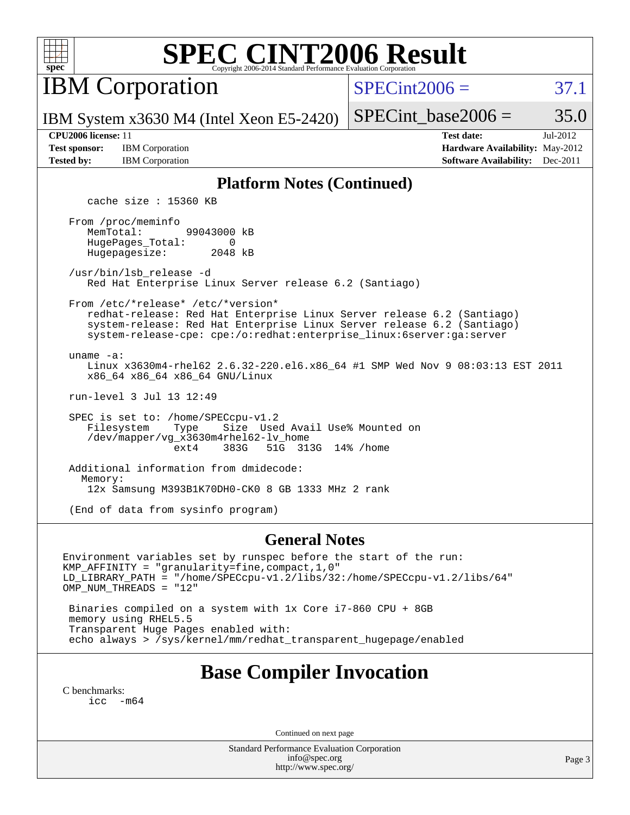

# **[SPEC CINT2006 Result](http://www.spec.org/auto/cpu2006/Docs/result-fields.html#SPECCINT2006Result)**

IBM Corporation

 $SPECint2006 = 37.1$  $SPECint2006 = 37.1$ 

IBM System x3630 M4 (Intel Xeon E5-2420)

SPECint base2006 =  $35.0$ 

**[Test sponsor:](http://www.spec.org/auto/cpu2006/Docs/result-fields.html#Testsponsor)** IBM Corporation **[Hardware Availability:](http://www.spec.org/auto/cpu2006/Docs/result-fields.html#HardwareAvailability)** May-2012

**[CPU2006 license:](http://www.spec.org/auto/cpu2006/Docs/result-fields.html#CPU2006license)** 11 **[Test date:](http://www.spec.org/auto/cpu2006/Docs/result-fields.html#Testdate)** Jul-2012 **[Tested by:](http://www.spec.org/auto/cpu2006/Docs/result-fields.html#Testedby)** IBM Corporation **[Software Availability:](http://www.spec.org/auto/cpu2006/Docs/result-fields.html#SoftwareAvailability)** Dec-2011

### **[Platform Notes \(Continued\)](http://www.spec.org/auto/cpu2006/Docs/result-fields.html#PlatformNotes)**

cache size : 15360 KB

 From /proc/meminfo MemTotal: 99043000 kB HugePages\_Total: 0<br>Hugepagesize: 2048 kB Hugepagesize:

 /usr/bin/lsb\_release -d Red Hat Enterprise Linux Server release 6.2 (Santiago)

From /etc/\*release\* /etc/\*version\*

 redhat-release: Red Hat Enterprise Linux Server release 6.2 (Santiago) system-release: Red Hat Enterprise Linux Server release 6.2 (Santiago) system-release-cpe: cpe:/o:redhat:enterprise\_linux:6server:ga:server

uname -a:

 Linux x3630m4-rhel62 2.6.32-220.el6.x86\_64 #1 SMP Wed Nov 9 08:03:13 EST 2011 x86\_64 x86\_64 x86\_64 GNU/Linux

run-level 3 Jul 13 12:49

SPEC is set to: /home/SPECcpu-v1.2<br>Filesystem Type Size Use Type Size Used Avail Use% Mounted on /dev/mapper/vg\_x3630m4rhel62-lv\_home ext4 383G 51G 313G 14% /home

 Additional information from dmidecode: Memory: 12x Samsung M393B1K70DH0-CK0 8 GB 1333 MHz 2 rank

(End of data from sysinfo program)

#### **[General Notes](http://www.spec.org/auto/cpu2006/Docs/result-fields.html#GeneralNotes)**

Environment variables set by runspec before the start of the run: KMP\_AFFINITY = "granularity=fine,compact,1,0" LD\_LIBRARY\_PATH = "/home/SPECcpu-v1.2/libs/32:/home/SPECcpu-v1.2/libs/64" OMP\_NUM\_THREADS = "12"

 Binaries compiled on a system with 1x Core i7-860 CPU + 8GB memory using RHEL5.5 Transparent Huge Pages enabled with: echo always > /sys/kernel/mm/redhat\_transparent\_hugepage/enabled

# **[Base Compiler Invocation](http://www.spec.org/auto/cpu2006/Docs/result-fields.html#BaseCompilerInvocation)**

[C benchmarks](http://www.spec.org/auto/cpu2006/Docs/result-fields.html#Cbenchmarks): [icc -m64](http://www.spec.org/cpu2006/results/res2012q3/cpu2006-20120725-23859.flags.html#user_CCbase_intel_icc_64bit_f346026e86af2a669e726fe758c88044)

Continued on next page

Standard Performance Evaluation Corporation [info@spec.org](mailto:info@spec.org) <http://www.spec.org/>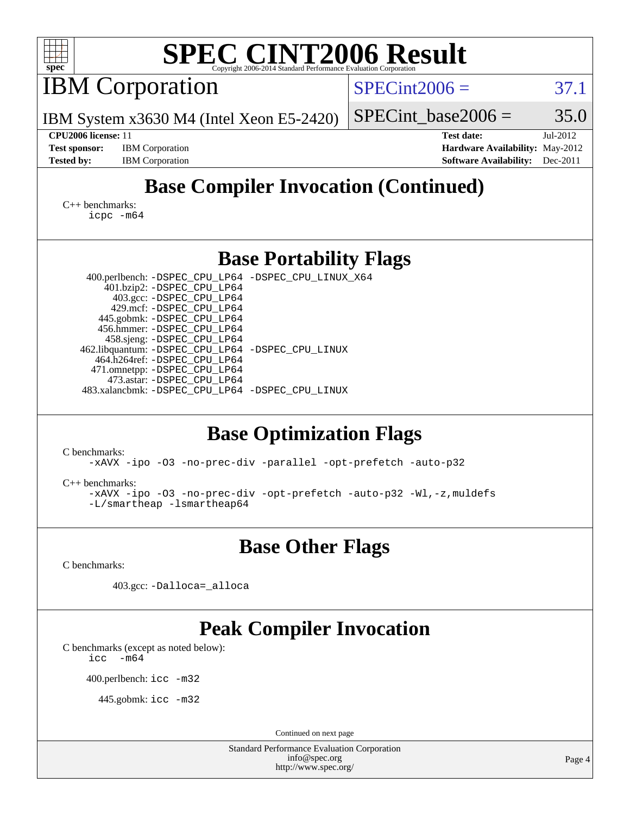| <b>SPEC CINT2006 Result</b><br>spec <sup>®</sup><br>Copyright 2006-2014 Standard Performance Evaluation Corporation                                                                                                                                                                                                                                                                                                                       |                                                                                                               |  |  |  |  |  |  |
|-------------------------------------------------------------------------------------------------------------------------------------------------------------------------------------------------------------------------------------------------------------------------------------------------------------------------------------------------------------------------------------------------------------------------------------------|---------------------------------------------------------------------------------------------------------------|--|--|--|--|--|--|
| <b>IBM</b> Corporation                                                                                                                                                                                                                                                                                                                                                                                                                    | $SPECint2006 =$<br>37.1                                                                                       |  |  |  |  |  |  |
| IBM System x3630 M4 (Intel Xeon E5-2420)                                                                                                                                                                                                                                                                                                                                                                                                  | 35.0<br>$SPECint\_base2006 =$                                                                                 |  |  |  |  |  |  |
| CPU2006 license: 11<br><b>Test sponsor:</b><br><b>IBM</b> Corporation<br><b>Tested by:</b><br><b>IBM</b> Corporation                                                                                                                                                                                                                                                                                                                      | <b>Test date:</b><br>Jul-2012<br>Hardware Availability: May-2012<br><b>Software Availability:</b><br>Dec-2011 |  |  |  |  |  |  |
| <b>Base Compiler Invocation (Continued)</b><br>$C_{++}$ benchmarks:<br>icpc -m64                                                                                                                                                                                                                                                                                                                                                          |                                                                                                               |  |  |  |  |  |  |
| <b>Base Portability Flags</b>                                                                                                                                                                                                                                                                                                                                                                                                             |                                                                                                               |  |  |  |  |  |  |
| 400.perlbench: -DSPEC_CPU_LP64 -DSPEC_CPU_LINUX_X64<br>401.bzip2: -DSPEC_CPU_LP64<br>403.gcc: -DSPEC_CPU_LP64<br>429.mcf: -DSPEC_CPU_LP64<br>445.gobmk: -DSPEC_CPU_LP64<br>456.hmmer: - DSPEC_CPU_LP64<br>458.sjeng: -DSPEC_CPU_LP64<br>462.libquantum: -DSPEC_CPU_LP64 -DSPEC_CPU_LINUX<br>464.h264ref: -DSPEC_CPU_LP64<br>471.omnetpp: -DSPEC_CPU_LP64<br>473.astar: -DSPEC_CPU_LP64<br>483.xalancbmk: -DSPEC_CPU_LP64 -DSPEC_CPU_LINUX |                                                                                                               |  |  |  |  |  |  |
| <b>Base Optimization Flags</b><br>C benchmarks:                                                                                                                                                                                                                                                                                                                                                                                           |                                                                                                               |  |  |  |  |  |  |
| -xAVX -ipo -03 -no-prec-div -parallel -opt-prefetch -auto-p32<br>$C_{++}$ benchmarks:<br>-xAVX -ipo -03 -no-prec-div -opt-prefetch -auto-p32 -Wl,-z, muldefs<br>$-L/s$ martheap -lsmartheap64                                                                                                                                                                                                                                             |                                                                                                               |  |  |  |  |  |  |
| <b>Base Other Flags</b>                                                                                                                                                                                                                                                                                                                                                                                                                   |                                                                                                               |  |  |  |  |  |  |
| C benchmarks:                                                                                                                                                                                                                                                                                                                                                                                                                             |                                                                                                               |  |  |  |  |  |  |
| 403.gcc: -Dalloca=_alloca                                                                                                                                                                                                                                                                                                                                                                                                                 |                                                                                                               |  |  |  |  |  |  |
| <b>Peak Compiler Invocation</b><br>C benchmarks (except as noted below):<br>$-m64$<br>icc<br>400.perlbench: icc -m32<br>445.gobmk: icc -m32                                                                                                                                                                                                                                                                                               |                                                                                                               |  |  |  |  |  |  |
| Continued on next page<br>Standard Performance Evaluation Corporation                                                                                                                                                                                                                                                                                                                                                                     |                                                                                                               |  |  |  |  |  |  |
| info@spec.org<br>http://www.spec.org/                                                                                                                                                                                                                                                                                                                                                                                                     |                                                                                                               |  |  |  |  |  |  |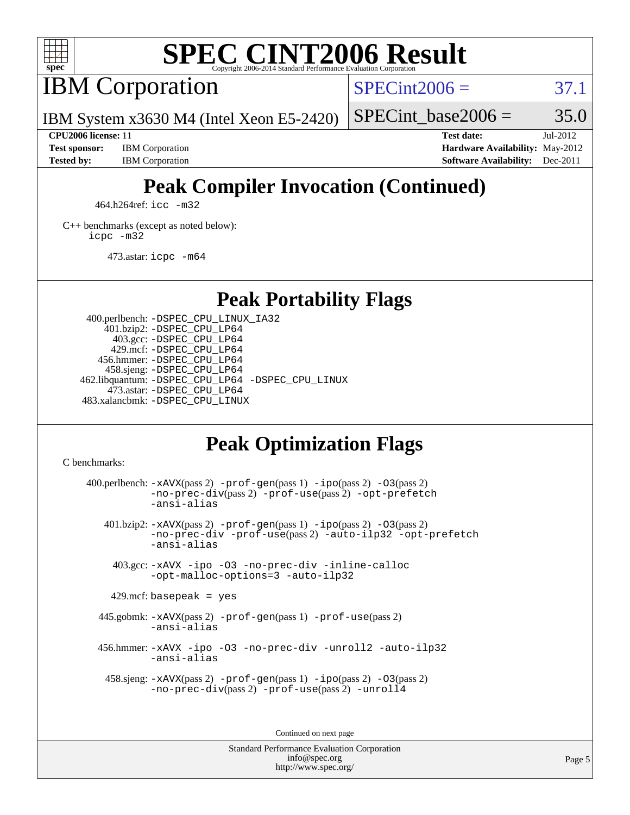

# **[SPEC CINT2006 Result](http://www.spec.org/auto/cpu2006/Docs/result-fields.html#SPECCINT2006Result)**

IBM Corporation

 $SPECint2006 = 37.1$  $SPECint2006 = 37.1$ 

IBM System x3630 M4 (Intel Xeon E5-2420)

SPECint base2006 =  $35.0$ 

**[CPU2006 license:](http://www.spec.org/auto/cpu2006/Docs/result-fields.html#CPU2006license)** 11 **[Test date:](http://www.spec.org/auto/cpu2006/Docs/result-fields.html#Testdate)** Jul-2012 **[Test sponsor:](http://www.spec.org/auto/cpu2006/Docs/result-fields.html#Testsponsor)** IBM Corporation **[Hardware Availability:](http://www.spec.org/auto/cpu2006/Docs/result-fields.html#HardwareAvailability)** May-2012 **[Tested by:](http://www.spec.org/auto/cpu2006/Docs/result-fields.html#Testedby)** IBM Corporation **[Software Availability:](http://www.spec.org/auto/cpu2006/Docs/result-fields.html#SoftwareAvailability)** Dec-2011

# **[Peak Compiler Invocation \(Continued\)](http://www.spec.org/auto/cpu2006/Docs/result-fields.html#PeakCompilerInvocation)**

464.h264ref: [icc -m32](http://www.spec.org/cpu2006/results/res2012q3/cpu2006-20120725-23859.flags.html#user_peakCCLD464_h264ref_intel_icc_a6a621f8d50482236b970c6ac5f55f93)

[C++ benchmarks \(except as noted below\):](http://www.spec.org/auto/cpu2006/Docs/result-fields.html#CXXbenchmarksexceptasnotedbelow) [icpc -m32](http://www.spec.org/cpu2006/results/res2012q3/cpu2006-20120725-23859.flags.html#user_CXXpeak_intel_icpc_4e5a5ef1a53fd332b3c49e69c3330699)

473.astar: [icpc -m64](http://www.spec.org/cpu2006/results/res2012q3/cpu2006-20120725-23859.flags.html#user_peakCXXLD473_astar_intel_icpc_64bit_fc66a5337ce925472a5c54ad6a0de310)

## **[Peak Portability Flags](http://www.spec.org/auto/cpu2006/Docs/result-fields.html#PeakPortabilityFlags)**

 400.perlbench: [-DSPEC\\_CPU\\_LINUX\\_IA32](http://www.spec.org/cpu2006/results/res2012q3/cpu2006-20120725-23859.flags.html#b400.perlbench_peakCPORTABILITY_DSPEC_CPU_LINUX_IA32) 401.bzip2: [-DSPEC\\_CPU\\_LP64](http://www.spec.org/cpu2006/results/res2012q3/cpu2006-20120725-23859.flags.html#suite_peakPORTABILITY401_bzip2_DSPEC_CPU_LP64) 403.gcc: [-DSPEC\\_CPU\\_LP64](http://www.spec.org/cpu2006/results/res2012q3/cpu2006-20120725-23859.flags.html#suite_peakPORTABILITY403_gcc_DSPEC_CPU_LP64) 429.mcf: [-DSPEC\\_CPU\\_LP64](http://www.spec.org/cpu2006/results/res2012q3/cpu2006-20120725-23859.flags.html#suite_peakPORTABILITY429_mcf_DSPEC_CPU_LP64) 456.hmmer: [-DSPEC\\_CPU\\_LP64](http://www.spec.org/cpu2006/results/res2012q3/cpu2006-20120725-23859.flags.html#suite_peakPORTABILITY456_hmmer_DSPEC_CPU_LP64) 458.sjeng: [-DSPEC\\_CPU\\_LP64](http://www.spec.org/cpu2006/results/res2012q3/cpu2006-20120725-23859.flags.html#suite_peakPORTABILITY458_sjeng_DSPEC_CPU_LP64) 462.libquantum: [-DSPEC\\_CPU\\_LP64](http://www.spec.org/cpu2006/results/res2012q3/cpu2006-20120725-23859.flags.html#suite_peakPORTABILITY462_libquantum_DSPEC_CPU_LP64) [-DSPEC\\_CPU\\_LINUX](http://www.spec.org/cpu2006/results/res2012q3/cpu2006-20120725-23859.flags.html#b462.libquantum_peakCPORTABILITY_DSPEC_CPU_LINUX) 473.astar: [-DSPEC\\_CPU\\_LP64](http://www.spec.org/cpu2006/results/res2012q3/cpu2006-20120725-23859.flags.html#suite_peakPORTABILITY473_astar_DSPEC_CPU_LP64) 483.xalancbmk: [-DSPEC\\_CPU\\_LINUX](http://www.spec.org/cpu2006/results/res2012q3/cpu2006-20120725-23859.flags.html#b483.xalancbmk_peakCXXPORTABILITY_DSPEC_CPU_LINUX)

# **[Peak Optimization Flags](http://www.spec.org/auto/cpu2006/Docs/result-fields.html#PeakOptimizationFlags)**

[C benchmarks](http://www.spec.org/auto/cpu2006/Docs/result-fields.html#Cbenchmarks):

400.perlbench:  $-xAUX(pass 2)$  -prof-qen(pass 1) [-ipo](http://www.spec.org/cpu2006/results/res2012q3/cpu2006-20120725-23859.flags.html#user_peakPASS2_CFLAGSPASS2_LDCFLAGS400_perlbench_f-ipo)(pass 2) -03(pass 2) [-no-prec-div](http://www.spec.org/cpu2006/results/res2012q3/cpu2006-20120725-23859.flags.html#user_peakPASS2_CFLAGSPASS2_LDCFLAGS400_perlbench_f-no-prec-div)(pass 2) [-prof-use](http://www.spec.org/cpu2006/results/res2012q3/cpu2006-20120725-23859.flags.html#user_peakPASS2_CFLAGSPASS2_LDCFLAGS400_perlbench_prof_use_bccf7792157ff70d64e32fe3e1250b55)(pass 2) [-opt-prefetch](http://www.spec.org/cpu2006/results/res2012q3/cpu2006-20120725-23859.flags.html#user_peakCOPTIMIZE400_perlbench_f-opt-prefetch) [-ansi-alias](http://www.spec.org/cpu2006/results/res2012q3/cpu2006-20120725-23859.flags.html#user_peakCOPTIMIZE400_perlbench_f-ansi-alias) 401.bzip2: [-xAVX](http://www.spec.org/cpu2006/results/res2012q3/cpu2006-20120725-23859.flags.html#user_peakPASS2_CFLAGSPASS2_LDCFLAGS401_bzip2_f-xAVX)(pass 2) [-prof-gen](http://www.spec.org/cpu2006/results/res2012q3/cpu2006-20120725-23859.flags.html#user_peakPASS1_CFLAGSPASS1_LDCFLAGS401_bzip2_prof_gen_e43856698f6ca7b7e442dfd80e94a8fc)(pass 1) [-ipo](http://www.spec.org/cpu2006/results/res2012q3/cpu2006-20120725-23859.flags.html#user_peakPASS2_CFLAGSPASS2_LDCFLAGS401_bzip2_f-ipo)(pass 2) [-O3](http://www.spec.org/cpu2006/results/res2012q3/cpu2006-20120725-23859.flags.html#user_peakPASS2_CFLAGSPASS2_LDCFLAGS401_bzip2_f-O3)(pass 2) [-no-prec-div](http://www.spec.org/cpu2006/results/res2012q3/cpu2006-20120725-23859.flags.html#user_peakCOPTIMIZEPASS2_CFLAGSPASS2_LDCFLAGS401_bzip2_f-no-prec-div) [-prof-use](http://www.spec.org/cpu2006/results/res2012q3/cpu2006-20120725-23859.flags.html#user_peakPASS2_CFLAGSPASS2_LDCFLAGS401_bzip2_prof_use_bccf7792157ff70d64e32fe3e1250b55)(pass 2) [-auto-ilp32](http://www.spec.org/cpu2006/results/res2012q3/cpu2006-20120725-23859.flags.html#user_peakCOPTIMIZE401_bzip2_f-auto-ilp32) [-opt-prefetch](http://www.spec.org/cpu2006/results/res2012q3/cpu2006-20120725-23859.flags.html#user_peakCOPTIMIZE401_bzip2_f-opt-prefetch) [-ansi-alias](http://www.spec.org/cpu2006/results/res2012q3/cpu2006-20120725-23859.flags.html#user_peakCOPTIMIZE401_bzip2_f-ansi-alias) 403.gcc: [-xAVX](http://www.spec.org/cpu2006/results/res2012q3/cpu2006-20120725-23859.flags.html#user_peakCOPTIMIZE403_gcc_f-xAVX) [-ipo](http://www.spec.org/cpu2006/results/res2012q3/cpu2006-20120725-23859.flags.html#user_peakCOPTIMIZE403_gcc_f-ipo) [-O3](http://www.spec.org/cpu2006/results/res2012q3/cpu2006-20120725-23859.flags.html#user_peakCOPTIMIZE403_gcc_f-O3) [-no-prec-div](http://www.spec.org/cpu2006/results/res2012q3/cpu2006-20120725-23859.flags.html#user_peakCOPTIMIZE403_gcc_f-no-prec-div) [-inline-calloc](http://www.spec.org/cpu2006/results/res2012q3/cpu2006-20120725-23859.flags.html#user_peakCOPTIMIZE403_gcc_f-inline-calloc) [-opt-malloc-options=3](http://www.spec.org/cpu2006/results/res2012q3/cpu2006-20120725-23859.flags.html#user_peakCOPTIMIZE403_gcc_f-opt-malloc-options_13ab9b803cf986b4ee62f0a5998c2238) [-auto-ilp32](http://www.spec.org/cpu2006/results/res2012q3/cpu2006-20120725-23859.flags.html#user_peakCOPTIMIZE403_gcc_f-auto-ilp32)  $429$ .mcf: basepeak = yes 445.gobmk: [-xAVX](http://www.spec.org/cpu2006/results/res2012q3/cpu2006-20120725-23859.flags.html#user_peakPASS2_CFLAGSPASS2_LDCFLAGS445_gobmk_f-xAVX)(pass 2) [-prof-gen](http://www.spec.org/cpu2006/results/res2012q3/cpu2006-20120725-23859.flags.html#user_peakPASS1_CFLAGSPASS1_LDCFLAGS445_gobmk_prof_gen_e43856698f6ca7b7e442dfd80e94a8fc)(pass 1) [-prof-use](http://www.spec.org/cpu2006/results/res2012q3/cpu2006-20120725-23859.flags.html#user_peakPASS2_CFLAGSPASS2_LDCFLAGS445_gobmk_prof_use_bccf7792157ff70d64e32fe3e1250b55)(pass 2) [-ansi-alias](http://www.spec.org/cpu2006/results/res2012q3/cpu2006-20120725-23859.flags.html#user_peakCOPTIMIZE445_gobmk_f-ansi-alias) 456.hmmer: [-xAVX](http://www.spec.org/cpu2006/results/res2012q3/cpu2006-20120725-23859.flags.html#user_peakCOPTIMIZE456_hmmer_f-xAVX) [-ipo](http://www.spec.org/cpu2006/results/res2012q3/cpu2006-20120725-23859.flags.html#user_peakCOPTIMIZE456_hmmer_f-ipo) [-O3](http://www.spec.org/cpu2006/results/res2012q3/cpu2006-20120725-23859.flags.html#user_peakCOPTIMIZE456_hmmer_f-O3) [-no-prec-div](http://www.spec.org/cpu2006/results/res2012q3/cpu2006-20120725-23859.flags.html#user_peakCOPTIMIZE456_hmmer_f-no-prec-div) [-unroll2](http://www.spec.org/cpu2006/results/res2012q3/cpu2006-20120725-23859.flags.html#user_peakCOPTIMIZE456_hmmer_f-unroll_784dae83bebfb236979b41d2422d7ec2) [-auto-ilp32](http://www.spec.org/cpu2006/results/res2012q3/cpu2006-20120725-23859.flags.html#user_peakCOPTIMIZE456_hmmer_f-auto-ilp32) [-ansi-alias](http://www.spec.org/cpu2006/results/res2012q3/cpu2006-20120725-23859.flags.html#user_peakCOPTIMIZE456_hmmer_f-ansi-alias) 458.sjeng: [-xAVX](http://www.spec.org/cpu2006/results/res2012q3/cpu2006-20120725-23859.flags.html#user_peakPASS2_CFLAGSPASS2_LDCFLAGS458_sjeng_f-xAVX)(pass 2) [-prof-gen](http://www.spec.org/cpu2006/results/res2012q3/cpu2006-20120725-23859.flags.html#user_peakPASS1_CFLAGSPASS1_LDCFLAGS458_sjeng_prof_gen_e43856698f6ca7b7e442dfd80e94a8fc)(pass 1) [-ipo](http://www.spec.org/cpu2006/results/res2012q3/cpu2006-20120725-23859.flags.html#user_peakPASS2_CFLAGSPASS2_LDCFLAGS458_sjeng_f-ipo)(pass 2) [-O3](http://www.spec.org/cpu2006/results/res2012q3/cpu2006-20120725-23859.flags.html#user_peakPASS2_CFLAGSPASS2_LDCFLAGS458_sjeng_f-O3)(pass 2) [-no-prec-div](http://www.spec.org/cpu2006/results/res2012q3/cpu2006-20120725-23859.flags.html#user_peakPASS2_CFLAGSPASS2_LDCFLAGS458_sjeng_f-no-prec-div)(pass 2) [-prof-use](http://www.spec.org/cpu2006/results/res2012q3/cpu2006-20120725-23859.flags.html#user_peakPASS2_CFLAGSPASS2_LDCFLAGS458_sjeng_prof_use_bccf7792157ff70d64e32fe3e1250b55)(pass 2) [-unroll4](http://www.spec.org/cpu2006/results/res2012q3/cpu2006-20120725-23859.flags.html#user_peakCOPTIMIZE458_sjeng_f-unroll_4e5e4ed65b7fd20bdcd365bec371b81f)

Continued on next page

Standard Performance Evaluation Corporation [info@spec.org](mailto:info@spec.org) <http://www.spec.org/>